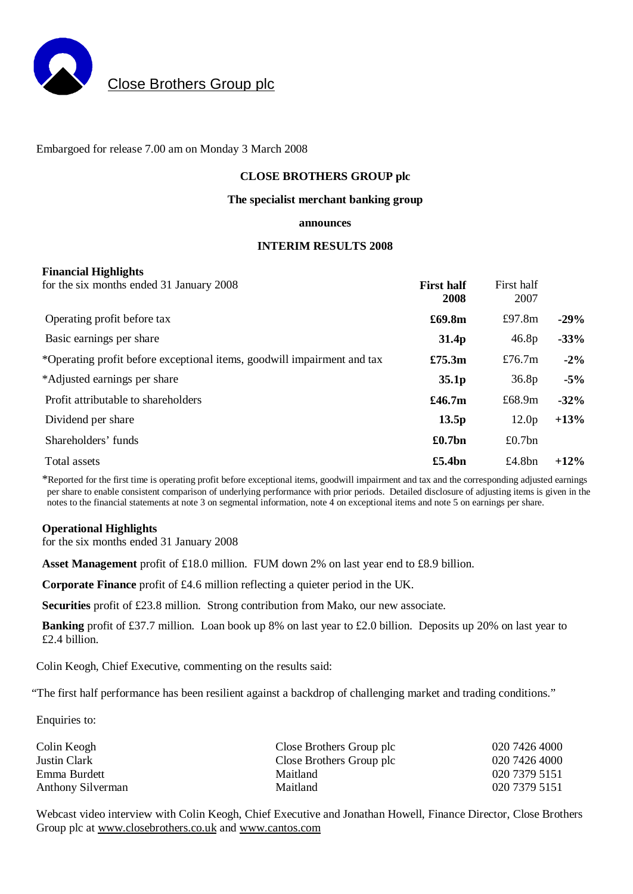

# Close Brothers Group plc

Embargoed for release 7.00 am on Monday 3 March 2008

### **CLOSE BROTHERS GROUP plc**

### **The specialist merchant banking group**

#### **announces**

### **INTERIM RESULTS 2008**

### **Financial Highlights**

| for the six months ended 31 January 2008                                | <b>First half</b><br>2008 | First half<br>2007 |        |
|-------------------------------------------------------------------------|---------------------------|--------------------|--------|
| Operating profit before tax                                             | £69.8m                    | £97.8 $m$          | $-29%$ |
| Basic earnings per share                                                | 31.4 <sub>p</sub>         | 46.8p              | $-33%$ |
| *Operating profit before exceptional items, goodwill impairment and tax | £75.3m                    | £76.7 $m$          | $-2\%$ |
| *Adjusted earnings per share                                            | 35.1 <sub>p</sub>         | 36.8 <sub>p</sub>  | $-5\%$ |
| Profit attributable to shareholders                                     | £46.7m                    | £68.9 $m$          | $-32%$ |
| Dividend per share                                                      | 13.5p                     | 12.0 <sub>p</sub>  | $+13%$ |
| Shareholders' funds                                                     | £0.7bn                    | £0.7 $bn$          |        |
| Total assets                                                            | £5.4bn                    | £4.8 $bn$          | $+12%$ |

\*Reported for the first time is operating profit before exceptional items, goodwill impairment and tax and the corresponding adjusted earnings per share to enable consistent comparison of underlying performance with prior periods. Detailed disclosure of adjusting items is given in the notes to the financial statements at note 3 on segmental information, note 4 on exceptional items and note 5 on earnings per share.

### **Operational Highlights**

for the six months ended 31 January 2008

**Asset Management** profit of £18.0 million. FUM down 2% on last year end to £8.9 billion.

**Corporate Finance** profit of £4.6 million reflecting a quieter period in the UK.

**Securities** profit of £23.8 million. Strong contribution from Mako, our new associate.

**Banking** profit of £37.7 million. Loan book up 8% on last year to £2.0 billion. Deposits up 20% on last year to £2.4 billion.

Colin Keogh, Chief Executive, commenting on the results said:

"The first half performance has been resilient against a backdrop of challenging market and trading conditions."

Enquiries to:

| Colin Keogh       | Close Brothers Group plc | 020 7426 4000 |
|-------------------|--------------------------|---------------|
| Justin Clark      | Close Brothers Group plc | 020 7426 4000 |
| Emma Burdett      | Maitland                 | 020 7379 5151 |
| Anthony Silverman | Maitland                 | 020 7379 5151 |

Webcast video interview with Colin Keogh, Chief Executive and Jonathan Howell, Finance Director, Close Brothers Group plc at [www.closebrothers.co.uk](http://www.closebrothers.co.uk) and [www.cantos.com](http://www.cantos.com)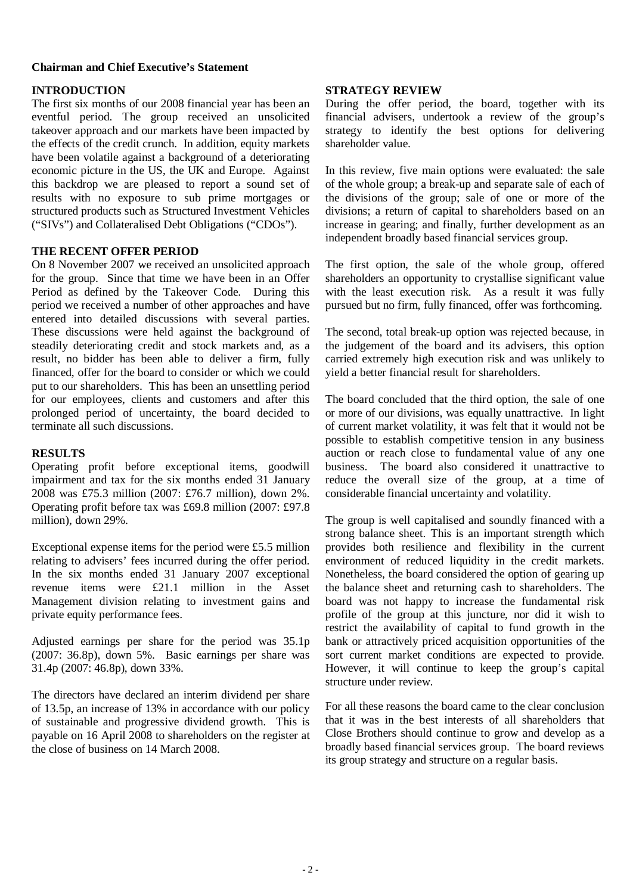# **Chairman and Chief Executive's Statement**

# **INTRODUCTION**

The first six months of our 2008 financial year has been an eventful period. The group received an unsolicited takeover approach and our markets have been impacted by the effects of the credit crunch. In addition, equity markets have been volatile against a background of a deteriorating economic picture in the US, the UK and Europe. Against this backdrop we are pleased to report a sound set of results with no exposure to sub prime mortgages or structured products such as Structured Investment Vehicles ("SIVs") and Collateralised Debt Obligations ("CDOs").

# **THE RECENT OFFER PERIOD**

On 8 November 2007 we received an unsolicited approach for the group. Since that time we have been in an Offer Period as defined by the Takeover Code. During this period we received a number of other approaches and have entered into detailed discussions with several parties. These discussions were held against the background of steadily deteriorating credit and stock markets and, as a result, no bidder has been able to deliver a firm, fully financed, offer for the board to consider or which we could put to our shareholders. This has been an unsettling period for our employees, clients and customers and after this prolonged period of uncertainty, the board decided to terminate all such discussions.

### **RESULTS**

Operating profit before exceptional items, goodwill impairment and tax for the six months ended 31 January 2008 was £75.3 million (2007: £76.7 million), down 2%. Operating profit before tax was £69.8 million (2007: £97.8 million), down 29%.

Exceptional expense items for the period were £5.5 million relating to advisers' fees incurred during the offer period. In the six months ended 31 January 2007 exceptional revenue items were £21.1 million in the Asset Management division relating to investment gains and private equity performance fees.

Adjusted earnings per share for the period was 35.1p (2007: 36.8p), down 5%. Basic earnings per share was 31.4p (2007: 46.8p), down 33%.

The directors have declared an interim dividend per share of 13.5p, an increase of 13% in accordance with our policy of sustainable and progressive dividend growth. This is payable on 16 April 2008 to shareholders on the register at the close of business on 14 March 2008.

### **STRATEGY REVIEW**

During the offer period, the board, together with its financial advisers, undertook a review of the group's strategy to identify the best options for delivering shareholder value.

In this review, five main options were evaluated: the sale of the whole group; a break-up and separate sale of each of the divisions of the group; sale of one or more of the divisions; a return of capital to shareholders based on an increase in gearing; and finally, further development as an independent broadly based financial services group.

The first option, the sale of the whole group, offered shareholders an opportunity to crystallise significant value with the least execution risk. As a result it was fully pursued but no firm, fully financed, offer was forthcoming.

The second, total break-up option was rejected because, in the judgement of the board and its advisers, this option carried extremely high execution risk and was unlikely to yield a better financial result for shareholders.

The board concluded that the third option, the sale of one or more of our divisions, was equally unattractive. In light of current market volatility, it was felt that it would not be possible to establish competitive tension in any business auction or reach close to fundamental value of any one business. The board also considered it unattractive to reduce the overall size of the group, at a time of considerable financial uncertainty and volatility.

The group is well capitalised and soundly financed with a strong balance sheet. This is an important strength which provides both resilience and flexibility in the current environment of reduced liquidity in the credit markets. Nonetheless, the board considered the option of gearing up the balance sheet and returning cash to shareholders. The board was not happy to increase the fundamental risk profile of the group at this juncture, nor did it wish to restrict the availability of capital to fund growth in the bank or attractively priced acquisition opportunities of the sort current market conditions are expected to provide. However, it will continue to keep the group's capital structure under review.

For all these reasons the board came to the clear conclusion that it was in the best interests of all shareholders that Close Brothers should continue to grow and develop as a broadly based financial services group. The board reviews its group strategy and structure on a regular basis.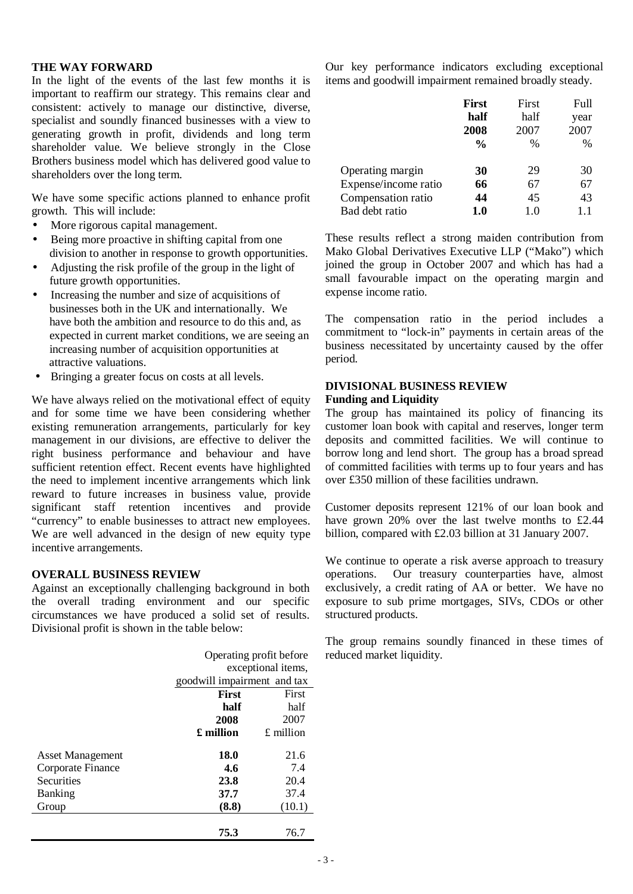### **THE WAY FORWARD**

In the light of the events of the last few months it is important to reaffirm our strategy. This remains clear and consistent: actively to manage our distinctive, diverse, specialist and soundly financed businesses with a view to generating growth in profit, dividends and long term shareholder value. We believe strongly in the Close Brothers business model which has delivered good value to shareholders over the long term.

We have some specific actions planned to enhance profit growth. This will include:

- More rigorous capital management.
- Being more proactive in shifting capital from one division to another in response to growth opportunities.
- Adjusting the risk profile of the group in the light of future growth opportunities.
- Increasing the number and size of acquisitions of businesses both in the UK and internationally. We have both the ambition and resource to do this and, as expected in current market conditions, we are seeing an increasing number of acquisition opportunities at attractive valuations.
- Bringing a greater focus on costs at all levels.

We have always relied on the motivational effect of equity and for some time we have been considering whether existing remuneration arrangements, particularly for key management in our divisions, are effective to deliver the right business performance and behaviour and have sufficient retention effect. Recent events have highlighted the need to implement incentive arrangements which link reward to future increases in business value, provide significant staff retention incentives and provide "currency" to enable businesses to attract new employees. We are well advanced in the design of new equity type incentive arrangements.

# **OVERALL BUSINESS REVIEW**

Against an exceptionally challenging background in both the overall trading environment and our specific circumstances we have produced a solid set of results. Divisional profit is shown in the table below:

|                         |              | Operating profit before     |  |  |
|-------------------------|--------------|-----------------------------|--|--|
|                         |              | exceptional items,          |  |  |
|                         |              | goodwill impairment and tax |  |  |
|                         | <b>First</b> | First                       |  |  |
|                         | half         | half                        |  |  |
|                         | 2008         | 2007                        |  |  |
|                         | £ million    | $£$ million                 |  |  |
| <b>Asset Management</b> | 18.0         | 21.6                        |  |  |
| Corporate Finance       | 4.6          | 7.4                         |  |  |
| Securities              | 23.8         | 20.4                        |  |  |
| <b>Banking</b>          | 37.7         | 37.4                        |  |  |
| Group                   | (8.8)        | (10.1)                      |  |  |
|                         | 75.3         | 76.7                        |  |  |

Our key performance indicators excluding exceptional items and goodwill impairment remained broadly steady.

|                      | <b>First</b>  | First | <b>Full</b> |
|----------------------|---------------|-------|-------------|
|                      | half          | half  | year        |
|                      | 2008          | 2007  | 2007        |
|                      | $\frac{0}{0}$ | $\%$  | $\%$        |
| Operating margin     | 30            | 29    | 30          |
| Expense/income ratio | 66            | 67    | 67          |
| Compensation ratio   | 44            | 45    | 43          |
| Bad debt ratio       | 1.0           | 1.0   | 1.1         |

These results reflect a strong maiden contribution from Mako Global Derivatives Executive LLP ("Mako") which joined the group in October 2007 and which has had a small favourable impact on the operating margin and expense income ratio.

The compensation ratio in the period includes a commitment to "lock-in" payments in certain areas of the business necessitated by uncertainty caused by the offer period.

### **DIVISIONAL BUSINESS REVIEW Funding and Liquidity**

The group has maintained its policy of financing its customer loan book with capital and reserves, longer term deposits and committed facilities. We will continue to borrow long and lend short. The group has a broad spread of committed facilities with terms up to four years and has over £350 million of these facilities undrawn.

Customer deposits represent 121% of our loan book and have grown 20% over the last twelve months to £2.44 billion, compared with £2.03 billion at 31 January 2007.

We continue to operate a risk averse approach to treasury operations. Our treasury counterparties have, almost exclusively, a credit rating of AA or better. We have no exposure to sub prime mortgages, SIVs, CDOs or other structured products.

The group remains soundly financed in these times of reduced market liquidity.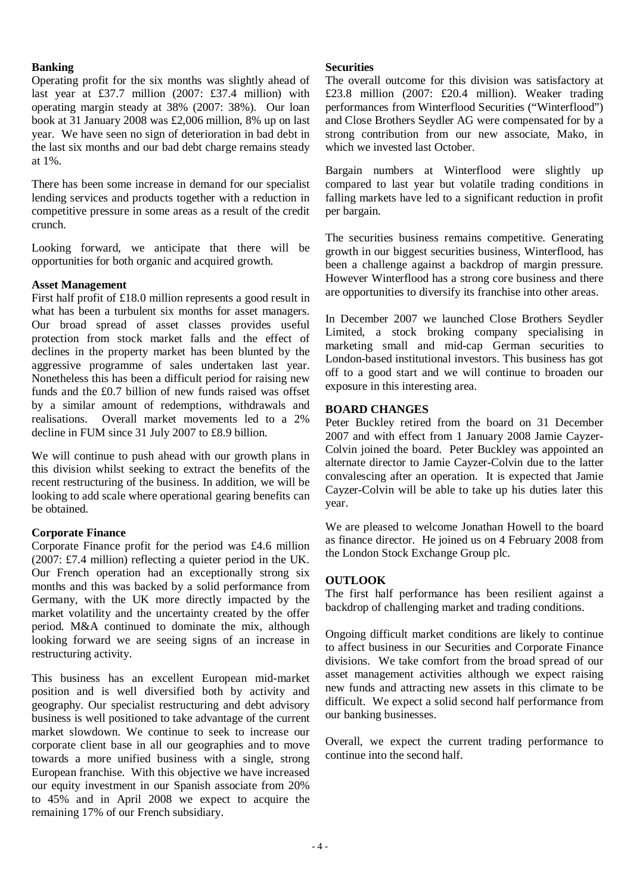# **Banking**

Operating profit for the six months was slightly ahead of last year at £37.7 million (2007: £37.4 million) with operating margin steady at 38% (2007: 38%). Our loan book at 31 January 2008 was £2,006 million, 8% up on last year. We have seen no sign of deterioration in bad debt in the last six months and our bad debt charge remains steady at 1%.

There has been some increase in demand for our specialist lending services and products together with a reduction in competitive pressure in some areas as a result of the credit crunch.

Looking forward, we anticipate that there will be opportunities for both organic and acquired growth.

# **Asset Management**

First half profit of £18.0 million represents a good result in what has been a turbulent six months for asset managers. Our broad spread of asset classes provides useful protection from stock market falls and the effect of declines in the property market has been blunted by the aggressive programme of sales undertaken last year. Nonetheless this has been a difficult period for raising new funds and the £0.7 billion of new funds raised was offset by a similar amount of redemptions, withdrawals and realisations. Overall market movements led to a 2% decline in FUM since 31 July 2007 to £8.9 billion.

We will continue to push ahead with our growth plans in this division whilst seeking to extract the benefits of the recent restructuring of the business. In addition, we will be looking to add scale where operational gearing benefits can be obtained.

# **Corporate Finance**

Corporate Finance profit for the period was £4.6 million (2007: £7.4 million) reflecting a quieter period in the UK. Our French operation had an exceptionally strong six months and this was backed by a solid performance from Germany, with the UK more directly impacted by the market volatility and the uncertainty created by the offer period. M&A continued to dominate the mix, although looking forward we are seeing signs of an increase in restructuring activity.

This business has an excellent European mid-market position and is well diversified both by activity and geography. Our specialist restructuring and debt advisory business is well positioned to take advantage of the current market slowdown. We continue to seek to increase our corporate client base in all our geographies and to move towards a more unified business with a single, strong European franchise. With this objective we have increased our equity investment in our Spanish associate from 20% to 45% and in April 2008 we expect to acquire the remaining 17% of our French subsidiary.

# **Securities**

The overall outcome for this division was satisfactory at £23.8 million (2007: £20.4 million). Weaker trading performances from Winterflood Securities ("Winterflood") and Close Brothers Seydler AG were compensated for by a strong contribution from our new associate, Mako, in which we invested last October.

Bargain numbers at Winterflood were slightly up compared to last year but volatile trading conditions in falling markets have led to a significant reduction in profit per bargain.

The securities business remains competitive. Generating growth in our biggest securities business, Winterflood, has been a challenge against a backdrop of margin pressure. However Winterflood has a strong core business and there are opportunities to diversify its franchise into other areas.

In December 2007 we launched Close Brothers Seydler Limited, a stock broking company specialising in marketing small and mid-cap German securities to London-based institutional investors. This business has got off to a good start and we will continue to broaden our exposure in this interesting area.

# **BOARD CHANGES**

Peter Buckley retired from the board on 31 December 2007 and with effect from 1 January 2008 Jamie Cayzer-Colvin joined the board. Peter Buckley was appointed an alternate director to Jamie Cayzer-Colvin due to the latter convalescing after an operation. It is expected that Jamie Cayzer-Colvin will be able to take up his duties later this year.

We are pleased to welcome Jonathan Howell to the board as finance director. He joined us on 4 February 2008 from the London Stock Exchange Group plc.

# **OUTLOOK**

The first half performance has been resilient against a backdrop of challenging market and trading conditions.

Ongoing difficult market conditions are likely to continue to affect business in our Securities and Corporate Finance divisions. We take comfort from the broad spread of our asset management activities although we expect raising new funds and attracting new assets in this climate to be difficult. We expect a solid second half performance from our banking businesses.

Overall, we expect the current trading performance to continue into the second half.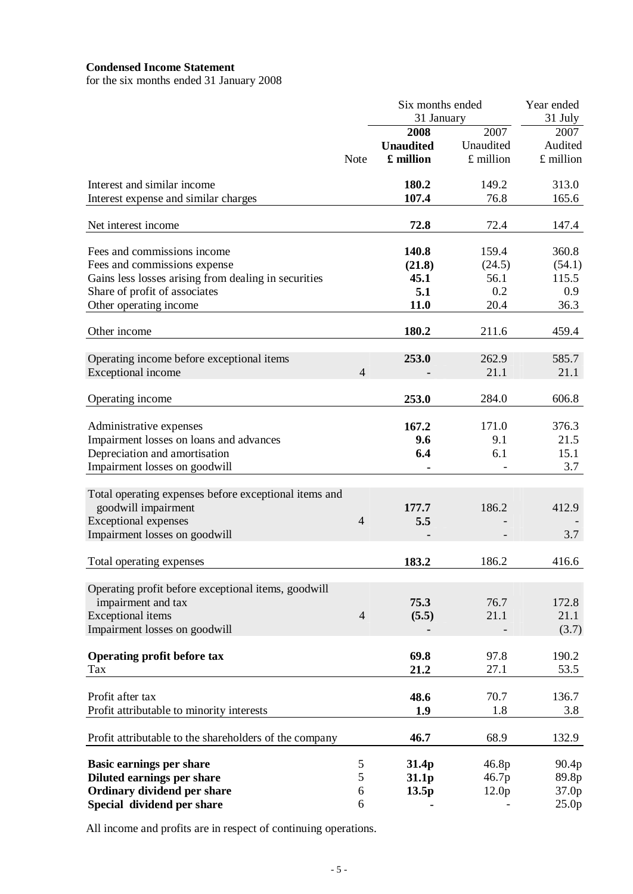# **Condensed Income Statement**

for the six months ended 31 January 2008

|                                                        | Six months ended |                  |                   | Year ended        |  |
|--------------------------------------------------------|------------------|------------------|-------------------|-------------------|--|
|                                                        |                  | 31 January       |                   | 31 July           |  |
|                                                        |                  | 2008             | 2007              | 2007              |  |
|                                                        |                  | <b>Unaudited</b> | Unaudited         | Audited           |  |
|                                                        | <b>Note</b>      | £ million        | £ million         | £ million         |  |
| Interest and similar income                            |                  | 180.2            | 149.2             | 313.0             |  |
| Interest expense and similar charges                   |                  | 107.4            | 76.8              | 165.6             |  |
| Net interest income                                    |                  | 72.8             | 72.4              | 147.4             |  |
| Fees and commissions income                            |                  | 140.8            | 159.4             | 360.8             |  |
| Fees and commissions expense                           |                  | (21.8)           | (24.5)            | (54.1)            |  |
| Gains less losses arising from dealing in securities   |                  | 45.1             | 56.1              | 115.5             |  |
| Share of profit of associates                          |                  | 5.1              | 0.2               | 0.9               |  |
| Other operating income                                 |                  | 11.0             | 20.4              | 36.3              |  |
| Other income                                           |                  | 180.2            | 211.6             | 459.4             |  |
| Operating income before exceptional items              |                  | 253.0            | 262.9             | 585.7             |  |
| Exceptional income                                     | $\overline{4}$   |                  | 21.1              | 21.1              |  |
| Operating income                                       |                  | 253.0            | 284.0             | 606.8             |  |
|                                                        |                  |                  |                   |                   |  |
| Administrative expenses                                |                  | 167.2            | 171.0             | 376.3             |  |
| Impairment losses on loans and advances                |                  | 9.6              | 9.1               | 21.5              |  |
| Depreciation and amortisation                          |                  | 6.4              | 6.1               | 15.1              |  |
| Impairment losses on goodwill                          |                  |                  |                   | 3.7               |  |
| Total operating expenses before exceptional items and  |                  |                  |                   |                   |  |
| goodwill impairment                                    |                  | 177.7            | 186.2             | 412.9             |  |
| <b>Exceptional expenses</b>                            | $\overline{4}$   | 5.5              |                   |                   |  |
| Impairment losses on goodwill                          |                  |                  |                   | 3.7               |  |
| Total operating expenses                               |                  | 183.2            | 186.2             | 416.6             |  |
|                                                        |                  |                  |                   |                   |  |
| Operating profit before exceptional items, goodwill    |                  |                  |                   |                   |  |
| impairment and tax                                     |                  | 75.3             | 76.7              | 172.8             |  |
| <b>Exceptional</b> items                               | $\overline{4}$   | (5.5)            | 21.1              | 21.1              |  |
| Impairment losses on goodwill                          |                  |                  |                   | (3.7)             |  |
| <b>Operating profit before tax</b>                     |                  | 69.8             | 97.8              | 190.2             |  |
| Tax                                                    |                  | 21.2             | 27.1              | 53.5              |  |
| Profit after tax                                       |                  | 48.6             | 70.7              | 136.7             |  |
| Profit attributable to minority interests              |                  | 1.9              | 1.8               | 3.8               |  |
|                                                        |                  |                  |                   |                   |  |
| Profit attributable to the shareholders of the company |                  | 46.7             | 68.9              | 132.9             |  |
| <b>Basic earnings per share</b>                        | 5                | 31.4p            | 46.8p             | 90.4p             |  |
| Diluted earnings per share                             | 5                | 31.1p            | 46.7p             | 89.8p             |  |
| Ordinary dividend per share                            | 6                | 13.5p            | 12.0 <sub>p</sub> | 37.0p             |  |
| Special dividend per share                             | 6                |                  |                   | 25.0 <sub>p</sub> |  |

All income and profits are in respect of continuing operations.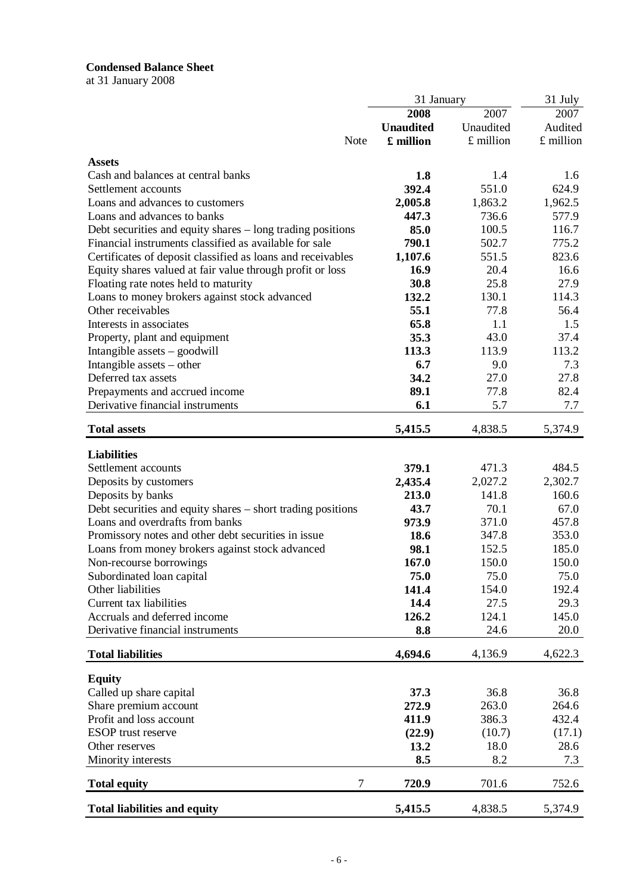# **Condensed Balance Sheet**

at 31 January 2008

|                                                             | 31 January       |           | 31 July   |
|-------------------------------------------------------------|------------------|-----------|-----------|
|                                                             | 2008             | 2007      | 2007      |
|                                                             | <b>Unaudited</b> | Unaudited | Audited   |
| Note                                                        | £ million        | £ million | £ million |
| <b>Assets</b>                                               |                  |           |           |
| Cash and balances at central banks                          | 1.8              | 1.4       | 1.6       |
| Settlement accounts                                         | 392.4            | 551.0     | 624.9     |
| Loans and advances to customers                             |                  |           |           |
| Loans and advances to banks                                 | 2,005.8          | 1,863.2   | 1,962.5   |
|                                                             | 447.3            | 736.6     | 577.9     |
| Debt securities and equity shares – long trading positions  | 85.0             | 100.5     | 116.7     |
| Financial instruments classified as available for sale      | 790.1            | 502.7     | 775.2     |
| Certificates of deposit classified as loans and receivables | 1,107.6          | 551.5     | 823.6     |
| Equity shares valued at fair value through profit or loss   | 16.9             | 20.4      | 16.6      |
| Floating rate notes held to maturity                        | 30.8             | 25.8      | 27.9      |
| Loans to money brokers against stock advanced               | 132.2            | 130.1     | 114.3     |
| Other receivables                                           | 55.1             | 77.8      | 56.4      |
| Interests in associates                                     | 65.8             | 1.1       | 1.5       |
| Property, plant and equipment                               | 35.3             | 43.0      | 37.4      |
| Intangible assets - goodwill                                | 113.3            | 113.9     | 113.2     |
| Intangible assets – other                                   | 6.7              | 9.0       | 7.3       |
| Deferred tax assets                                         | 34.2             | 27.0      | 27.8      |
| Prepayments and accrued income                              | 89.1             | 77.8      | 82.4      |
| Derivative financial instruments                            | 6.1              | 5.7       | 7.7       |
| <b>Total assets</b>                                         | 5,415.5          | 4,838.5   | 5,374.9   |
|                                                             |                  |           |           |
| <b>Liabilities</b>                                          |                  |           |           |
| Settlement accounts                                         | 379.1            | 471.3     | 484.5     |
| Deposits by customers                                       | 2,435.4          | 2,027.2   | 2,302.7   |
| Deposits by banks                                           | 213.0            | 141.8     | 160.6     |
| Debt securities and equity shares – short trading positions | 43.7             | 70.1      | 67.0      |
| Loans and overdrafts from banks                             | 973.9            | 371.0     | 457.8     |
| Promissory notes and other debt securities in issue         | 18.6             | 347.8     | 353.0     |
| Loans from money brokers against stock advanced             | 98.1             | 152.5     | 185.0     |
| Non-recourse borrowings                                     | 167.0            | 150.0     | 150.0     |
| Subordinated loan capital                                   | 75.0             | 75.0      | 75.0      |
| Other liabilities                                           | 141.4            | 154.0     | 192.4     |
| Current tax liabilities                                     | 14.4             | 27.5      | 29.3      |
| Accruals and deferred income                                | 126.2            | 124.1     | 145.0     |
| Derivative financial instruments                            | 8.8              | 24.6      | 20.0      |
| <b>Total liabilities</b>                                    | 4,694.6          | 4,136.9   | 4,622.3   |
| <b>Equity</b>                                               |                  |           |           |
| Called up share capital                                     | 37.3             | 36.8      | 36.8      |
| Share premium account                                       | 272.9            | 263.0     | 264.6     |
| Profit and loss account                                     | 411.9            | 386.3     | 432.4     |
| <b>ESOP</b> trust reserve                                   | (22.9)           | (10.7)    | (17.1)    |
| Other reserves                                              | 13.2             | 18.0      | 28.6      |
| Minority interests                                          | 8.5              | 8.2       | 7.3       |
| $\tau$<br><b>Total equity</b>                               | 720.9            | 701.6     | 752.6     |
|                                                             |                  |           |           |
| <b>Total liabilities and equity</b>                         | 5,415.5          | 4,838.5   | 5,374.9   |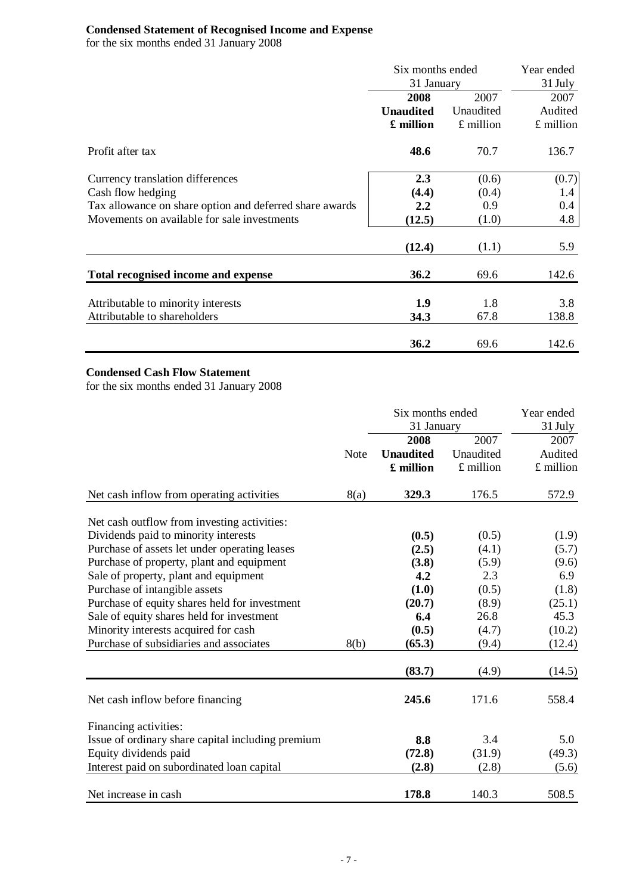### **Condensed Statement of Recognised Income and Expense**

for the six months ended 31 January 2008

|                                                         | Six months ended | Year ended<br>31 July |           |
|---------------------------------------------------------|------------------|-----------------------|-----------|
|                                                         | 31 January       |                       |           |
|                                                         | 2008             | 2007                  | 2007      |
|                                                         | <b>Unaudited</b> | Unaudited             | Audited   |
|                                                         | £ million        | £ million             | £ million |
| Profit after tax                                        | 48.6             | 70.7                  | 136.7     |
| Currency translation differences                        | 2.3              | (0.6)                 | (0.7)     |
| Cash flow hedging                                       | (4.4)            | (0.4)                 | 1.4       |
| Tax allowance on share option and deferred share awards | 2.2              | 0.9                   | 0.4       |
| Movements on available for sale investments             | (12.5)           | (1.0)                 | 4.8       |
|                                                         | (12.4)           | (1.1)                 | 5.9       |
| Total recognised income and expense                     | 36.2             | 69.6                  | 142.6     |
| Attributable to minority interests                      | 1.9              | 1.8                   | 3.8       |
| Attributable to shareholders                            | 34.3             | 67.8                  | 138.8     |
|                                                         | 36.2             | 69.6                  | 142.6     |

# **Condensed Cash Flow Statement**

for the six months ended 31 January 2008

|                                                   | Six months ended |                  |             | Year ended  |
|---------------------------------------------------|------------------|------------------|-------------|-------------|
|                                                   | 31 January       |                  |             | 31 July     |
|                                                   |                  | 2008             | 2007        | 2007        |
|                                                   | Note             | <b>Unaudited</b> | Unaudited   | Audited     |
|                                                   |                  | £ million        | $£$ million | $£$ million |
| Net cash inflow from operating activities         | 8(a)             | 329.3            | 176.5       | 572.9       |
| Net cash outflow from investing activities:       |                  |                  |             |             |
| Dividends paid to minority interests              |                  | (0.5)            | (0.5)       | (1.9)       |
| Purchase of assets let under operating leases     |                  | (2.5)            | (4.1)       | (5.7)       |
| Purchase of property, plant and equipment         |                  | (3.8)            | (5.9)       | (9.6)       |
| Sale of property, plant and equipment             |                  | 4.2              | 2.3         | 6.9         |
| Purchase of intangible assets                     |                  | (1.0)            | (0.5)       | (1.8)       |
| Purchase of equity shares held for investment     |                  | (20.7)           | (8.9)       | (25.1)      |
| Sale of equity shares held for investment         |                  | 6.4              | 26.8        | 45.3        |
| Minority interests acquired for cash              |                  | (0.5)            | (4.7)       | (10.2)      |
| Purchase of subsidiaries and associates           | 8(b)             | (65.3)           | (9.4)       | (12.4)      |
|                                                   |                  | (83.7)           | (4.9)       | (14.5)      |
| Net cash inflow before financing                  |                  | 245.6            | 171.6       | 558.4       |
| Financing activities:                             |                  |                  |             |             |
| Issue of ordinary share capital including premium |                  | 8.8              | 3.4         | 5.0         |
| Equity dividends paid                             |                  | (72.8)           | (31.9)      | (49.3)      |
| Interest paid on subordinated loan capital        |                  | (2.8)            | (2.8)       | (5.6)       |
| Net increase in cash                              |                  | 178.8            | 140.3       | 508.5       |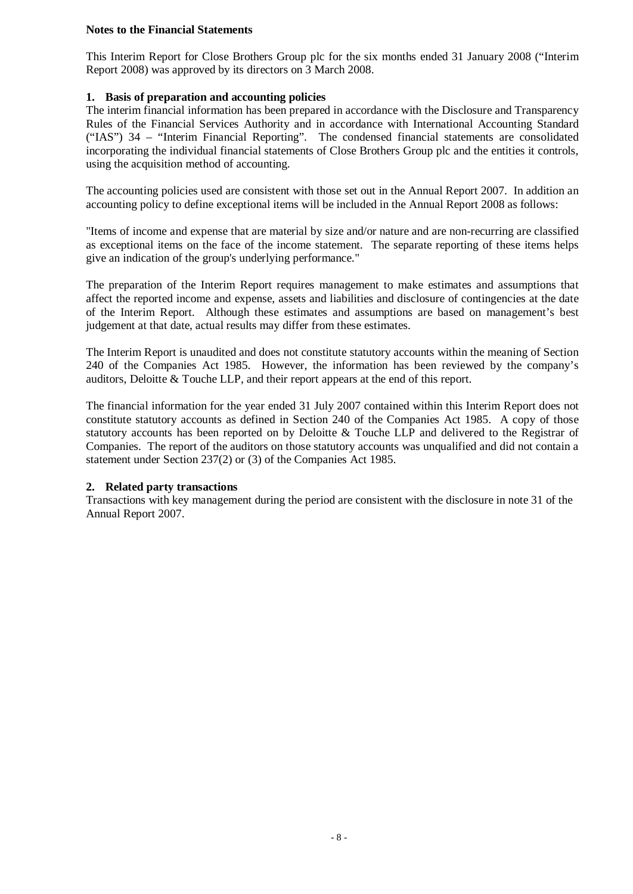# **Notes to the Financial Statements**

This Interim Report for Close Brothers Group plc for the six months ended 31 January 2008 ("Interim Report 2008) was approved by its directors on 3 March 2008.

# **1. Basis of preparation and accounting policies**

The interim financial information has been prepared in accordance with the Disclosure and Transparency Rules of the Financial Services Authority and in accordance with International Accounting Standard ("IAS") 34 – "Interim Financial Reporting". The condensed financial statements are consolidated incorporating the individual financial statements of Close Brothers Group plc and the entities it controls, using the acquisition method of accounting.

The accounting policies used are consistent with those set out in the Annual Report 2007. In addition an accounting policy to define exceptional items will be included in the Annual Report 2008 as follows:

"Items of income and expense that are material by size and/or nature and are non-recurring are classified as exceptional items on the face of the income statement. The separate reporting of these items helps give an indication of the group's underlying performance."

The preparation of the Interim Report requires management to make estimates and assumptions that affect the reported income and expense, assets and liabilities and disclosure of contingencies at the date of the Interim Report. Although these estimates and assumptions are based on management's best judgement at that date, actual results may differ from these estimates.

The Interim Report is unaudited and does not constitute statutory accounts within the meaning of Section 240 of the Companies Act 1985. However, the information has been reviewed by the company's auditors, Deloitte & Touche LLP, and their report appears at the end of this report.

The financial information for the year ended 31 July 2007 contained within this Interim Report does not constitute statutory accounts as defined in Section 240 of the Companies Act 1985. A copy of those statutory accounts has been reported on by Deloitte & Touche LLP and delivered to the Registrar of Companies. The report of the auditors on those statutory accounts was unqualified and did not contain a statement under Section 237(2) or (3) of the Companies Act 1985.

# **2. Related party transactions**

Transactions with key management during the period are consistent with the disclosure in note 31 of the Annual Report 2007.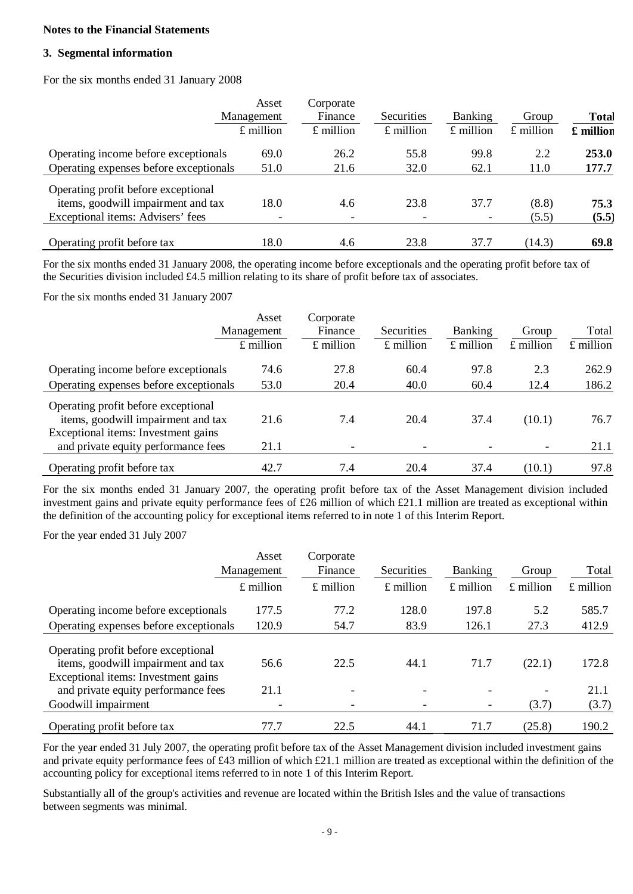# **Notes to the Financial Statements**

# **3. Segmental information**

For the six months ended 31 January 2008

|                                        | Asset                    | Corporate   |             |                          |             |              |
|----------------------------------------|--------------------------|-------------|-------------|--------------------------|-------------|--------------|
|                                        | Management               | Finance     | Securities  | <b>Banking</b>           | Group       | <b>Total</b> |
|                                        | $£$ million              | $£$ million | $£$ million | $£$ million              | $£$ million | £ million    |
| Operating income before exceptionals   | 69.0                     | 26.2        | 55.8        | 99.8                     | 2.2         | 253.0        |
| Operating expenses before exceptionals | 51.0                     | 21.6        | 32.0        | 62.1                     | 11.0        | 177.7        |
| Operating profit before exceptional    |                          |             |             |                          |             |              |
| items, goodwill impairment and tax     | 18.0                     | 4.6         | 23.8        | 37.7                     | (8.8)       | 75.3         |
| Exceptional items: Advisers' fees      | $\overline{\phantom{0}}$ | -           |             | $\overline{\phantom{a}}$ | (5.5)       | (5.5)        |
| Operating profit before tax            | 18.0                     | 4.6         | 23.8        | 37.7                     | (14.3)      | 69.8         |

For the six months ended 31 January 2008, the operating income before exceptionals and the operating profit before tax of the Securities division included £4.5 million relating to its share of profit before tax of associates.

For the six months ended 31 January 2007

|                                        | Asset       | Corporate   |             |                |             |           |
|----------------------------------------|-------------|-------------|-------------|----------------|-------------|-----------|
|                                        | Management  | Finance     | Securities  | <b>Banking</b> | Group       | Total     |
|                                        | $£$ million | $£$ million | $£$ million | $£$ million    | $£$ million | £ million |
| Operating income before exceptionals   | 74.6        | 27.8        | 60.4        | 97.8           | 2.3         | 262.9     |
| Operating expenses before exceptionals | 53.0        | 20.4        | 40.0        | 60.4           | 12.4        | 186.2     |
| Operating profit before exceptional    |             |             |             |                |             |           |
| items, goodwill impairment and tax     | 21.6        | 7.4         | 20.4        | 37.4           | (10.1)      | 76.7      |
| Exceptional items: Investment gains    |             |             |             |                |             |           |
| and private equity performance fees    | 21.1        | -           |             |                |             | 21.1      |
| Operating profit before tax            | 42.7        | 7.4         | 20.4        | 37.4           | (10.1)      | 97.8      |

For the six months ended 31 January 2007, the operating profit before tax of the Asset Management division included investment gains and private equity performance fees of £26 million of which £21.1 million are treated as exceptional within the definition of the accounting policy for exceptional items referred to in note 1 of this Interim Report.

For the year ended 31 July 2007

|                                                                                                                  | Asset       | Corporate   |                          |                          |             |             |
|------------------------------------------------------------------------------------------------------------------|-------------|-------------|--------------------------|--------------------------|-------------|-------------|
|                                                                                                                  | Management  | Finance     | Securities               | <b>Banking</b>           | Group       | Total       |
|                                                                                                                  | $£$ million | $£$ million | $£$ million              | $£$ million              | $£$ million | $£$ million |
| Operating income before exceptionals                                                                             | 177.5       | 77.2        | 128.0                    | 197.8                    | 5.2         | 585.7       |
| Operating expenses before exceptionals                                                                           | 120.9       | 54.7        | 83.9                     | 126.1                    | 27.3        | 412.9       |
| Operating profit before exceptional<br>items, goodwill impairment and tax<br>Exceptional items: Investment gains | 56.6        | 22.5        | 44.1                     | 71.7                     | (22.1)      | 172.8       |
| and private equity performance fees                                                                              | 21.1        | -           | $\overline{\phantom{0}}$ | $\qquad \qquad$          |             | 21.1        |
| Goodwill impairment                                                                                              |             | -           |                          | $\overline{\phantom{a}}$ | (3.7)       | (3.7)       |
| Operating profit before tax                                                                                      | 77.7        | 22.5        | 44.1                     | 71.7                     | (25.8)      | 190.2       |

For the year ended 31 July 2007, the operating profit before tax of the Asset Management division included investment gains and private equity performance fees of £43 million of which £21.1 million are treated as exceptional within the definition of the accounting policy for exceptional items referred to in note 1 of this Interim Report.

Substantially all of the group's activities and revenue are located within the British Isles and the value of transactions between segments was minimal.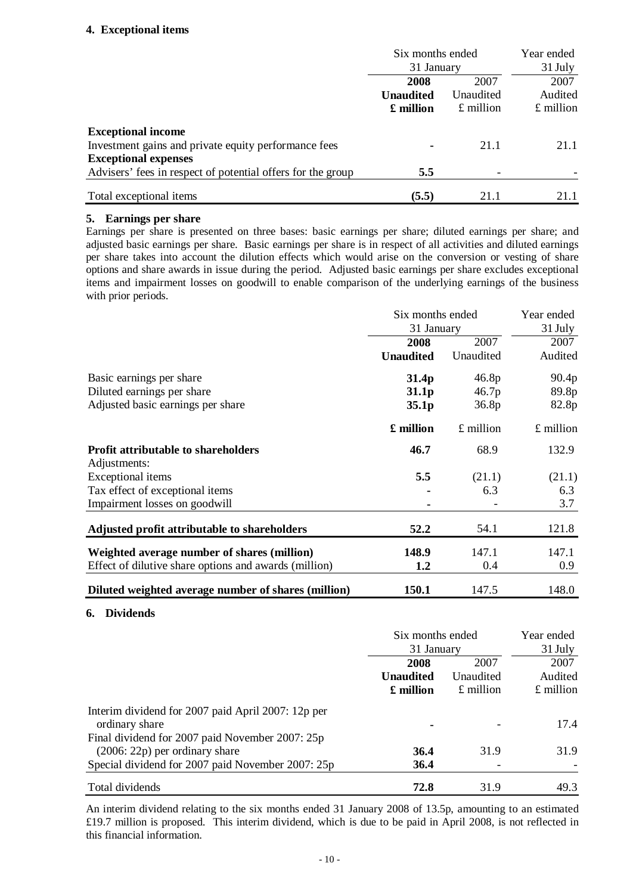# **4. Exceptional items**

|                                                             | Six months ended |             | Year ended  |  |         |
|-------------------------------------------------------------|------------------|-------------|-------------|--|---------|
|                                                             | 31 January       |             | 31 July     |  |         |
|                                                             | 2008             | 2007        | 2007        |  |         |
|                                                             | <b>Unaudited</b> | Unaudited   |             |  | Audited |
|                                                             | £ million        | $£$ million | $£$ million |  |         |
| <b>Exceptional income</b>                                   |                  |             |             |  |         |
| Investment gains and private equity performance fees        | ۰                | 21.1        | 21.1        |  |         |
| <b>Exceptional expenses</b>                                 |                  |             |             |  |         |
| Advisers' fees in respect of potential offers for the group | 5.5              | -           |             |  |         |
| Total exceptional items                                     | (5.5)            | 21.1        | 21.1        |  |         |

# **5. Earnings per share**

Earnings per share is presented on three bases: basic earnings per share; diluted earnings per share; and adjusted basic earnings per share. Basic earnings per share is in respect of all activities and diluted earnings per share takes into account the dilution effects which would arise on the conversion or vesting of share options and share awards in issue during the period. Adjusted basic earnings per share excludes exceptional items and impairment losses on goodwill to enable comparison of the underlying earnings of the business with prior periods.

|                                                       | Six months ended<br>31 January |             | Year ended  |
|-------------------------------------------------------|--------------------------------|-------------|-------------|
|                                                       |                                |             | 31 July     |
|                                                       | 2008                           | 2007        | 2007        |
|                                                       | <b>Unaudited</b>               | Unaudited   | Audited     |
| Basic earnings per share                              | 31.4 <sub>p</sub>              | 46.8p       | 90.4p       |
| Diluted earnings per share                            | 31.1 <sub>p</sub>              | 46.7p       | 89.8p       |
| Adjusted basic earnings per share                     | 35.1 <sub>p</sub>              | 36.8p       | 82.8p       |
|                                                       | £ million                      | $£$ million | $£$ million |
| <b>Profit attributable to shareholders</b>            | 46.7                           | 68.9        | 132.9       |
| Adjustments:                                          |                                |             |             |
| Exceptional items                                     | 5.5                            | (21.1)      | (21.1)      |
| Tax effect of exceptional items                       |                                | 6.3         | 6.3         |
| Impairment losses on goodwill                         |                                |             | 3.7         |
| Adjusted profit attributable to shareholders          | 52.2                           | 54.1        | 121.8       |
| Weighted average number of shares (million)           | 148.9                          | 147.1       | 147.1       |
| Effect of dilutive share options and awards (million) | 1.2                            | 0.4         | 0.9         |
| Diluted weighted average number of shares (million)   | 150.1                          | 147.5       | 148.0       |

# **6. Dividends**

|                                                                                     | Six months ended<br>31 January |                   | Year ended<br>31 July |  |
|-------------------------------------------------------------------------------------|--------------------------------|-------------------|-----------------------|--|
|                                                                                     | 2008<br><b>Unaudited</b>       | 2007<br>Unaudited | 2007<br>Audited       |  |
|                                                                                     | $\pounds$ million              | $£$ million       | $£$ million           |  |
| Interim dividend for 2007 paid April 2007: 12p per<br>ordinary share                |                                |                   | 17.4                  |  |
| Final dividend for 2007 paid November 2007: 25p<br>$(2006: 22p)$ per ordinary share | 36.4                           | 31.9              | 31.9                  |  |
| Special dividend for 2007 paid November 2007: 25p                                   | 36.4                           |                   |                       |  |
| Total dividends                                                                     | 72.8                           | 31.9              | 49.3                  |  |

An interim dividend relating to the six months ended 31 January 2008 of 13.5p, amounting to an estimated £19.7 million is proposed. This interim dividend, which is due to be paid in April 2008, is not reflected in this financial information.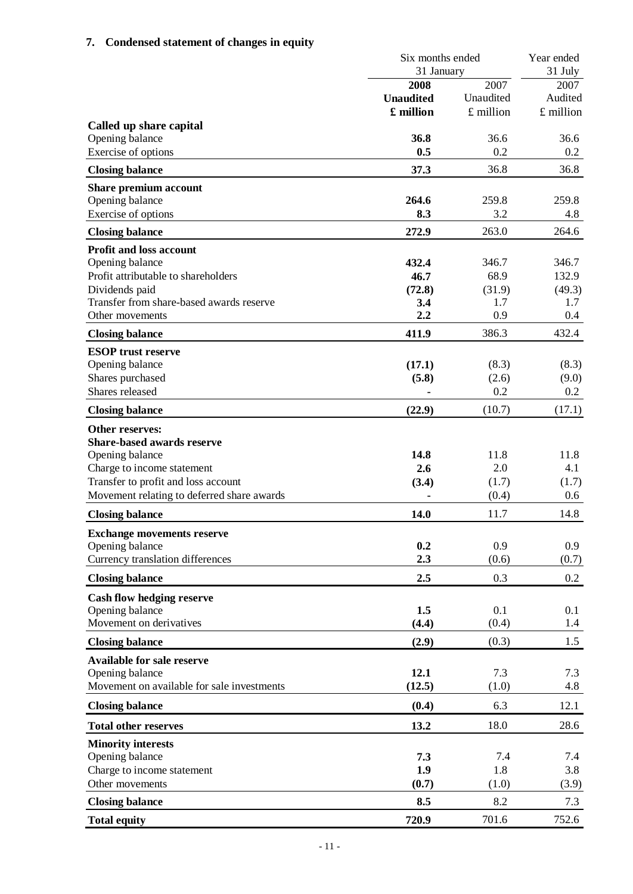# **7. Condensed statement of changes in equity**

|                                            | Six months ended<br>31 January |           | Year ended<br>31 July<br>2007 |
|--------------------------------------------|--------------------------------|-----------|-------------------------------|
|                                            | <b>2008</b><br>2007            |           |                               |
|                                            | <b>Unaudited</b>               | Unaudited | Audited                       |
|                                            | £ million                      | £ million | £ million                     |
| Called up share capital                    |                                |           |                               |
| Opening balance                            | 36.8                           | 36.6      | 36.6                          |
| Exercise of options                        | 0.5                            | 0.2       | 0.2                           |
| <b>Closing balance</b>                     | 37.3                           | 36.8      | 36.8                          |
| Share premium account                      |                                |           |                               |
| Opening balance                            | 264.6                          | 259.8     | 259.8                         |
| Exercise of options                        | 8.3                            | 3.2       | 4.8                           |
| <b>Closing balance</b>                     | 272.9                          | 263.0     | 264.6                         |
| <b>Profit and loss account</b>             |                                |           |                               |
| Opening balance                            | 432.4                          | 346.7     | 346.7                         |
| Profit attributable to shareholders        | 46.7                           | 68.9      | 132.9                         |
| Dividends paid                             | (72.8)                         | (31.9)    | (49.3)                        |
| Transfer from share-based awards reserve   | 3.4                            | 1.7       | 1.7                           |
| Other movements                            | 2.2                            | 0.9       | 0.4                           |
| <b>Closing balance</b>                     | 411.9                          | 386.3     | 432.4                         |
| <b>ESOP</b> trust reserve                  |                                |           |                               |
| Opening balance                            | (17.1)                         | (8.3)     | (8.3)                         |
| Shares purchased                           | (5.8)                          | (2.6)     | (9.0)                         |
| Shares released                            |                                | 0.2       | 0.2                           |
| <b>Closing balance</b>                     | (22.9)                         | (10.7)    | (17.1)                        |
| Other reserves:                            |                                |           |                               |
| <b>Share-based awards reserve</b>          |                                |           |                               |
| Opening balance                            | 14.8                           | 11.8      | 11.8                          |
| Charge to income statement                 | 2.6                            | 2.0       | 4.1                           |
| Transfer to profit and loss account        | (3.4)                          | (1.7)     | (1.7)                         |
| Movement relating to deferred share awards | $\blacksquare$                 | (0.4)     | 0.6                           |
| <b>Closing balance</b>                     | 14.0                           | 11.7      | 14.8                          |
| <b>Exchange movements reserve</b>          |                                |           |                               |
| Opening balance                            | 0.2                            | 0.9       | 0.9                           |
| Currency translation differences           | 2.3                            | (0.6)     | (0.7)                         |
| <b>Closing balance</b>                     | 2.5                            | 0.3       | 0.2                           |
| <b>Cash flow hedging reserve</b>           |                                |           |                               |
| Opening balance                            | 1.5                            | 0.1       | 0.1                           |
| Movement on derivatives                    | (4.4)                          | (0.4)     | 1.4                           |
| <b>Closing balance</b>                     | (2.9)                          | (0.3)     | 1.5                           |
| <b>Available for sale reserve</b>          |                                |           |                               |
| Opening balance                            | 12.1                           | 7.3       | 7.3                           |
| Movement on available for sale investments | (12.5)                         | (1.0)     | 4.8                           |
| <b>Closing balance</b>                     | (0.4)                          | 6.3       | 12.1                          |
| <b>Total other reserves</b>                | 13.2                           | 18.0      | 28.6                          |
| <b>Minority interests</b>                  |                                |           |                               |
| Opening balance                            | 7.3                            | 7.4       | 7.4                           |
| Charge to income statement                 | 1.9                            | 1.8       | 3.8                           |
| Other movements                            | (0.7)                          | (1.0)     | (3.9)                         |
| <b>Closing balance</b>                     | 8.5                            | 8.2       | 7.3                           |
| <b>Total equity</b>                        | 720.9                          | 701.6     | 752.6                         |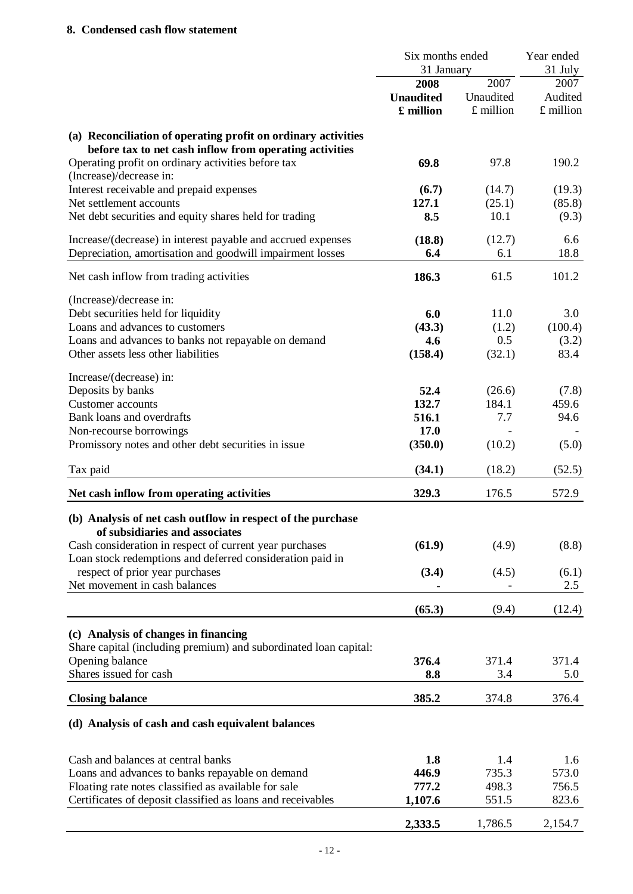# **8. Condensed cash flow statement**

|                                                                                                                                                                                | Six months ended<br>31 January        |                                  | Year ended<br>31 July        |
|--------------------------------------------------------------------------------------------------------------------------------------------------------------------------------|---------------------------------------|----------------------------------|------------------------------|
|                                                                                                                                                                                | 2008<br><b>Unaudited</b><br>£ million | 2007<br>Unaudited<br>$£$ million | 2007<br>Audited<br>£ million |
| (a) Reconciliation of operating profit on ordinary activities<br>before tax to net cash inflow from operating activities<br>Operating profit on ordinary activities before tax | 69.8                                  | 97.8                             | 190.2                        |
| (Increase)/decrease in:                                                                                                                                                        |                                       |                                  |                              |
| Interest receivable and prepaid expenses<br>Net settlement accounts                                                                                                            | (6.7)                                 | (14.7)                           | (19.3)                       |
| Net debt securities and equity shares held for trading                                                                                                                         | 127.1<br>8.5                          | (25.1)<br>10.1                   | (85.8)<br>(9.3)              |
| Increase/(decrease) in interest payable and accrued expenses<br>Depreciation, amortisation and goodwill impairment losses                                                      | (18.8)<br>6.4                         | (12.7)<br>6.1                    | 6.6<br>18.8                  |
| Net cash inflow from trading activities                                                                                                                                        | 186.3                                 | 61.5                             | 101.2                        |
| (Increase)/decrease in:                                                                                                                                                        |                                       |                                  |                              |
| Debt securities held for liquidity                                                                                                                                             | 6.0                                   | 11.0                             | 3.0                          |
| Loans and advances to customers                                                                                                                                                | (43.3)                                | (1.2)                            | (100.4)                      |
| Loans and advances to banks not repayable on demand                                                                                                                            | 4.6                                   | 0.5                              | (3.2)                        |
| Other assets less other liabilities                                                                                                                                            | (158.4)                               | (32.1)                           | 83.4                         |
| Increase/(decrease) in:                                                                                                                                                        |                                       |                                  |                              |
| Deposits by banks                                                                                                                                                              | 52.4                                  | (26.6)                           | (7.8)                        |
| <b>Customer</b> accounts                                                                                                                                                       | 132.7                                 | 184.1                            | 459.6                        |
| Bank loans and overdrafts                                                                                                                                                      | 516.1                                 | 7.7                              | 94.6                         |
| Non-recourse borrowings                                                                                                                                                        | <b>17.0</b>                           |                                  |                              |
| Promissory notes and other debt securities in issue                                                                                                                            | (350.0)                               | (10.2)                           | (5.0)                        |
| Tax paid                                                                                                                                                                       | (34.1)                                | (18.2)                           | (52.5)                       |
| Net cash inflow from operating activities                                                                                                                                      | 329.3                                 | 176.5                            | 572.9                        |
| (b) Analysis of net cash outflow in respect of the purchase<br>of subsidiaries and associates                                                                                  |                                       |                                  |                              |
| Cash consideration in respect of current year purchases                                                                                                                        | (61.9)                                | (4.9)                            | (8.8)                        |
| Loan stock redemptions and deferred consideration paid in                                                                                                                      |                                       |                                  |                              |
| respect of prior year purchases                                                                                                                                                | (3.4)                                 | (4.5)                            | (6.1)                        |
| Net movement in cash balances                                                                                                                                                  |                                       |                                  | 2.5                          |
|                                                                                                                                                                                | (65.3)                                | (9.4)                            | (12.4)                       |
| (c) Analysis of changes in financing                                                                                                                                           |                                       |                                  |                              |
| Share capital (including premium) and subordinated loan capital:                                                                                                               |                                       |                                  |                              |
| Opening balance                                                                                                                                                                | 376.4                                 | 371.4                            | 371.4                        |
| Shares issued for cash                                                                                                                                                         | 8.8                                   | 3.4                              | 5.0                          |
| <b>Closing balance</b>                                                                                                                                                         | 385.2                                 | 374.8                            | 376.4                        |
| (d) Analysis of cash and cash equivalent balances                                                                                                                              |                                       |                                  |                              |
| Cash and balances at central banks                                                                                                                                             | 1.8                                   | 1.4                              | 1.6                          |
| Loans and advances to banks repayable on demand                                                                                                                                | 446.9                                 | 735.3                            | 573.0                        |
| Floating rate notes classified as available for sale                                                                                                                           | 777.2                                 | 498.3                            | 756.5                        |
| Certificates of deposit classified as loans and receivables                                                                                                                    | 1,107.6                               | 551.5                            | 823.6                        |
|                                                                                                                                                                                |                                       |                                  |                              |

**2,333.5** 1,786.5 2,154.7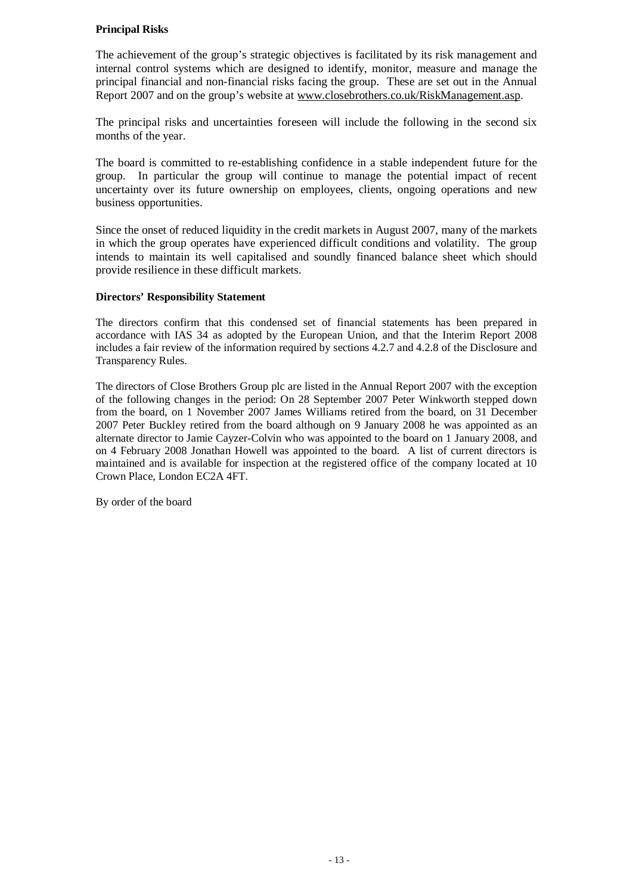# **Principal Risks**

The achievement of the group's strategic objectives is facilitated by its risk management and internal control systems which are designed to identify, monitor, measure and manage the principal financial and non-financial risks facing the group. These are set out in the Annual Report 2007 and on the group's website at [www.closebrothers.co.uk/RiskManagement.asp.](http://www.closebrothers.co.uk/RiskManagement.asp)

The principal risks and uncertainties foreseen will include the following in the second six months of the year.

The board is committed to re-establishing confidence in a stable independent future for the group. In particular the group will continue to manage the potential impact of recent uncertainty over its future ownership on employees, clients, ongoing operations and new business opportunities.

Since the onset of reduced liquidity in the credit markets in August 2007, many of the markets in which the group operates have experienced difficult conditions and volatility. The group intends to maintain its well capitalised and soundly financed balance sheet which should provide resilience in these difficult markets.

# **Directors' Responsibility Statement**

The directors confirm that this condensed set of financial statements has been prepared in accordance with IAS 34 as adopted by the European Union, and that the Interim Report 2008 includes a fair review of the information required by sections 4.2.7 and 4.2.8 of the Disclosure and Transparency Rules.

The directors of Close Brothers Group plc are listed in the Annual Report 2007 with the exception of the following changes in the period: On 28 September 2007 Peter Winkworth stepped down from the board, on 1 November 2007 James Williams retired from the board, on 31 December 2007 Peter Buckley retired from the board although on 9 January 2008 he was appointed as an alternate director to Jamie Cayzer-Colvin who was appointed to the board on 1 January 2008, and on 4 February 2008 Jonathan Howell was appointed to the board. A list of current directors is maintained and is available for inspection at the registered office of the company located at 10 Crown Place, London EC2A 4FT.

By order of the board